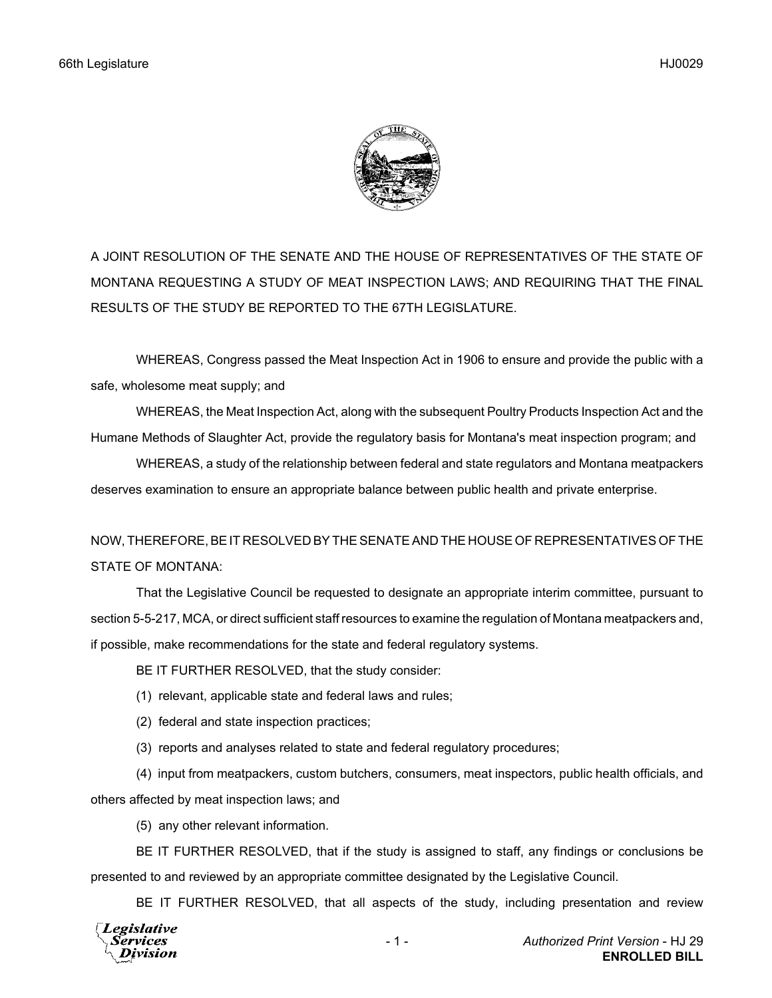

A JOINT RESOLUTION OF THE SENATE AND THE HOUSE OF REPRESENTATIVES OF THE STATE OF MONTANA REQUESTING A STUDY OF MEAT INSPECTION LAWS; AND REQUIRING THAT THE FINAL RESULTS OF THE STUDY BE REPORTED TO THE 67TH LEGISLATURE.

WHEREAS, Congress passed the Meat Inspection Act in 1906 to ensure and provide the public with a safe, wholesome meat supply; and

WHEREAS, the Meat Inspection Act, along with the subsequent Poultry Products Inspection Act and the Humane Methods of Slaughter Act, provide the regulatory basis for Montana's meat inspection program; and

WHEREAS, a study of the relationship between federal and state regulators and Montana meatpackers deserves examination to ensure an appropriate balance between public health and private enterprise.

## NOW, THEREFORE, BE IT RESOLVED BY THE SENATE AND THE HOUSE OF REPRESENTATIVES OF THE STATE OF MONTANA:

That the Legislative Council be requested to designate an appropriate interim committee, pursuant to section 5-5-217, MCA, or direct sufficient staff resources to examine the regulation of Montana meatpackers and, if possible, make recommendations for the state and federal regulatory systems.

BE IT FURTHER RESOLVED, that the study consider:

- (1) relevant, applicable state and federal laws and rules;
- (2) federal and state inspection practices;
- (3) reports and analyses related to state and federal regulatory procedures;

(4) input from meatpackers, custom butchers, consumers, meat inspectors, public health officials, and others affected by meat inspection laws; and

(5) any other relevant information.

BE IT FURTHER RESOLVED, that if the study is assigned to staff, any findings or conclusions be presented to and reviewed by an appropriate committee designated by the Legislative Council.

BE IT FURTHER RESOLVED, that all aspects of the study, including presentation and review

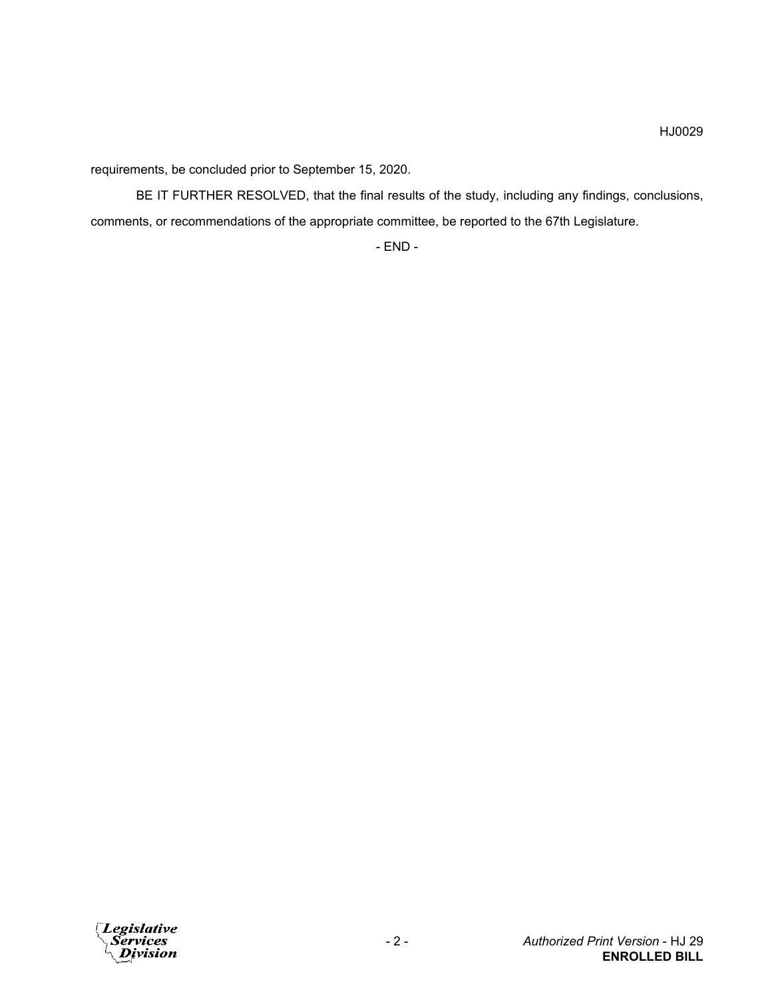requirements, be concluded prior to September 15, 2020.

BE IT FURTHER RESOLVED, that the final results of the study, including any findings, conclusions, comments, or recommendations of the appropriate committee, be reported to the 67th Legislature.

- END -

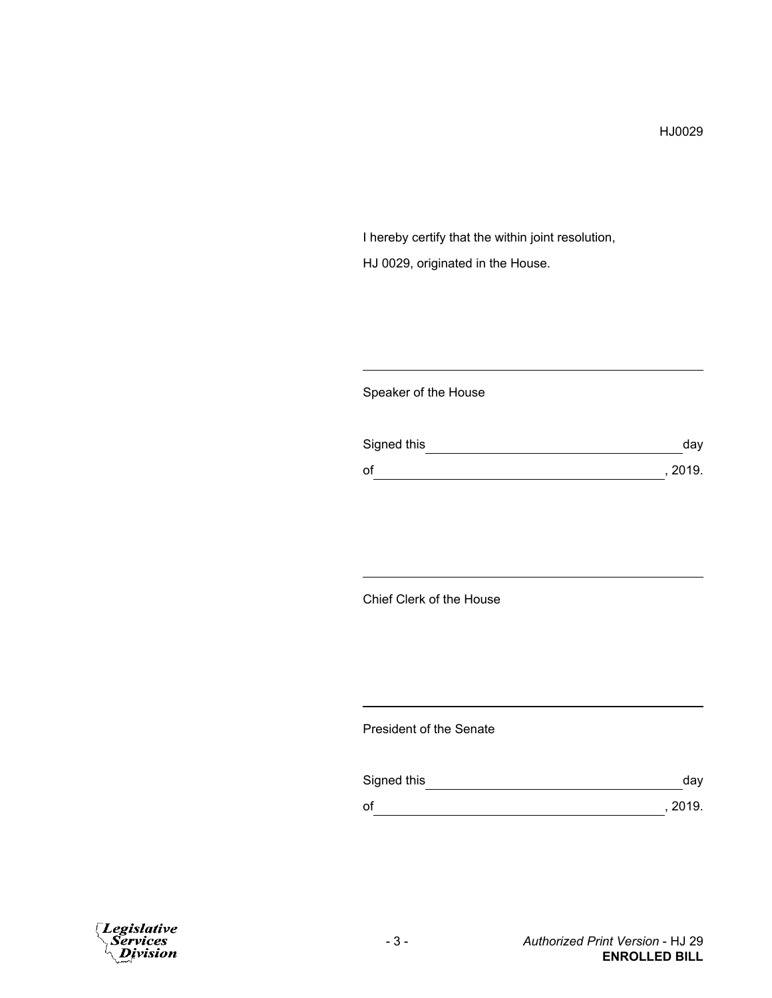I hereby certify that the within joint resolution, HJ 0029, originated in the House.

### Speaker of the House

| Signed this | day     |
|-------------|---------|
| of          | , 2019. |

## Chief Clerk of the House

#### President of the Senate

| Signed this | day     |
|-------------|---------|
| of          | , 2019. |